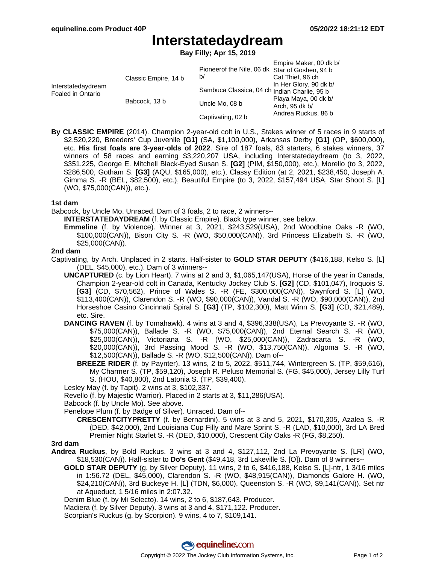# **Interstatedaydream**

**Bay Filly; Apr 15, 2019**

| Interstatedaydream<br>Foaled in Ontario | Classic Empire, 14 b | Pioneerof the Nile, 06 dk Star of Goshen, 94 b<br>b/ | Empire Maker, 00 dk b/<br>Cat Thief, 96 ch                                              |
|-----------------------------------------|----------------------|------------------------------------------------------|-----------------------------------------------------------------------------------------|
|                                         |                      | Sambuca Classica, 04 ch Indian Charlie, 95 b         | In Her Glory, 90 dk b/<br>Playa Maya, 00 dk b/<br>Arch, 95 dk b/<br>Andrea Ruckus, 86 b |
|                                         | Babcock, 13 b        | Uncle Mo, 08 b                                       |                                                                                         |
|                                         |                      | Captivating, 02 b                                    |                                                                                         |

**By CLASSIC EMPIRE** (2014). Champion 2-year-old colt in U.S., Stakes winner of 5 races in 9 starts of \$2,520,220, Breeders' Cup Juvenile **[G1]** (SA, \$1,100,000), Arkansas Derby **[G1]** (OP, \$600,000), etc. **His first foals are 3-year-olds of 2022**. Sire of 187 foals, 83 starters, 6 stakes winners, 37 winners of 58 races and earning \$3,220,207 USA, including Interstatedaydream (to 3, 2022, \$351,225, George E. Mitchell Black-Eyed Susan S. **[G2]** (PIM, \$150,000), etc.), Morello (to 3, 2022, \$286,500, Gotham S. **[G3]** (AQU, \$165,000), etc.), Classy Edition (at 2, 2021, \$238,450, Joseph A. Gimma S. -R (BEL, \$82,500), etc.), Beautiful Empire (to 3, 2022, \$157,494 USA, Star Shoot S. [L] (WO, \$75,000(CAN)), etc.).

# **1st dam**

Babcock, by Uncle Mo. Unraced. Dam of 3 foals, 2 to race, 2 winners--

- **INTERSTATEDAYDREAM** (f. by Classic Empire). Black type winner, see below.
- **Emmeline** (f. by Violence). Winner at 3, 2021, \$243,529(USA), 2nd Woodbine Oaks -R (WO, \$100,000(CAN)), Bison City S. -R (WO, \$50,000(CAN)), 3rd Princess Elizabeth S. -R (WO, \$25,000(CAN)).

# **2nd dam**

Captivating, by Arch. Unplaced in 2 starts. Half-sister to **GOLD STAR DEPUTY** (\$416,188, Kelso S. [L] (DEL, \$45,000), etc.). Dam of 3 winners--

- **UNCAPTURED** (c. by Lion Heart). 7 wins at 2 and 3, \$1,065,147(USA), Horse of the year in Canada, Champion 2-year-old colt in Canada, Kentucky Jockey Club S. **[G2]** (CD, \$101,047), Iroquois S. **[G3]** (CD, \$70,562), Prince of Wales S. -R (FE, \$300,000(CAN)), Swynford S. [L] (WO, \$113,400(CAN)), Clarendon S. -R (WO, \$90,000(CAN)), Vandal S. -R (WO, \$90,000(CAN)), 2nd Horseshoe Casino Cincinnati Spiral S. **[G3]** (TP, \$102,300), Matt Winn S. **[G3]** (CD, \$21,489), etc. Sire.
- **DANCING RAVEN** (f. by Tomahawk). 4 wins at 3 and 4, \$396,338(USA), La Prevoyante S. -R (WO, \$75,000(CAN)), Ballade S. -R (WO, \$75,000(CAN)), 2nd Eternal Search S. -R (WO, \$25,000(CAN)), Victoriana S. -R (WO, \$25,000(CAN)), Zadracarta S. -R (WO, \$20,000(CAN)), 3rd Passing Mood S. -R (WO, \$13,750(CAN)), Algoma S. -R (WO, \$12,500(CAN)), Ballade S. -R (WO, \$12,500(CAN)). Dam of--
	- **BREEZE RIDER** (f. by Paynter). 13 wins, 2 to 5, 2022, \$511,744, Wintergreen S. (TP, \$59,616), My Charmer S. (TP, \$59,120), Joseph R. Peluso Memorial S. (FG, \$45,000), Jersey Lilly Turf S. (HOU, \$40,800), 2nd Latonia S. (TP, \$39,400).

Lesley May (f. by Tapit). 2 wins at 3, \$102,337.

Revello (f. by Majestic Warrior). Placed in 2 starts at 3, \$11,286(USA).

Babcock (f. by Uncle Mo). See above.

Penelope Plum (f. by Badge of Silver). Unraced. Dam of--

**CRESCENTCITYPRETTY** (f. by Bernardini). 5 wins at 3 and 5, 2021, \$170,305, Azalea S. -R (DED, \$42,000), 2nd Louisiana Cup Filly and Mare Sprint S. -R (LAD, \$10,000), 3rd LA Bred Premier Night Starlet S. -R (DED, \$10,000), Crescent City Oaks -R (FG, \$8,250).

#### **3rd dam**

- **Andrea Ruckus**, by Bold Ruckus. 3 wins at 3 and 4, \$127,112, 2nd La Prevoyante S. [LR] (WO, \$18,530(CAN)). Half-sister to **Do's Gent** (\$49,418, 3rd Lakeville S. [O]). Dam of 8 winners--
	- **GOLD STAR DEPUTY** (g. by Silver Deputy). 11 wins, 2 to 6, \$416,188, Kelso S. [L]-ntr, 1 3/16 miles in 1:56.72 (DEL, \$45,000), Clarendon S. -R (WO, \$48,915(CAN)), Diamonds Galore H. (WO, \$24,210(CAN)), 3rd Buckeye H. [L] (TDN, \$6,000), Queenston S. -R (WO, \$9,141(CAN)). Set ntr at Aqueduct, 1 5/16 miles in 2:07.32.
	- Denim Blue (f. by Mi Selecto). 14 wins, 2 to 6, \$187,643. Producer.

Madiera (f. by Silver Deputy). 3 wins at 3 and 4, \$171,122. Producer.

Scorpian's Ruckus (g. by Scorpion). 9 wins, 4 to 7, \$109,141.